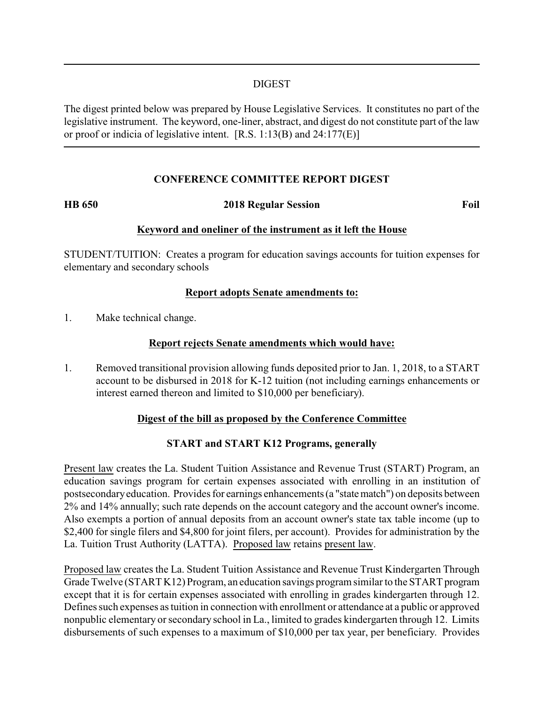### DIGEST

The digest printed below was prepared by House Legislative Services. It constitutes no part of the legislative instrument. The keyword, one-liner, abstract, and digest do not constitute part of the law or proof or indicia of legislative intent. [R.S. 1:13(B) and 24:177(E)]

### **CONFERENCE COMMITTEE REPORT DIGEST**

#### **HB 650 2018 Regular Session Foil**

#### **Keyword and oneliner of the instrument as it left the House**

STUDENT/TUITION: Creates a program for education savings accounts for tuition expenses for elementary and secondary schools

### **Report adopts Senate amendments to:**

1. Make technical change.

#### **Report rejects Senate amendments which would have:**

1. Removed transitional provision allowing funds deposited prior to Jan. 1, 2018, to a START account to be disbursed in 2018 for K-12 tuition (not including earnings enhancements or interest earned thereon and limited to \$10,000 per beneficiary).

# **Digest of the bill as proposed by the Conference Committee**

# **START and START K12 Programs, generally**

Present law creates the La. Student Tuition Assistance and Revenue Trust (START) Program, an education savings program for certain expenses associated with enrolling in an institution of postsecondaryeducation. Provides for earnings enhancements (a "statematch") on deposits between 2% and 14% annually; such rate depends on the account category and the account owner's income. Also exempts a portion of annual deposits from an account owner's state tax table income (up to \$2,400 for single filers and \$4,800 for joint filers, per account). Provides for administration by the La. Tuition Trust Authority (LATTA). Proposed law retains present law.

Proposed law creates the La. Student Tuition Assistance and Revenue Trust Kindergarten Through Grade Twelve (START K12) Program, an education savings program similar to the START program except that it is for certain expenses associated with enrolling in grades kindergarten through 12. Defines such expenses as tuition in connection with enrollment or attendance at a public or approved nonpublic elementary or secondary school in La., limited to grades kindergarten through 12. Limits disbursements of such expenses to a maximum of \$10,000 per tax year, per beneficiary. Provides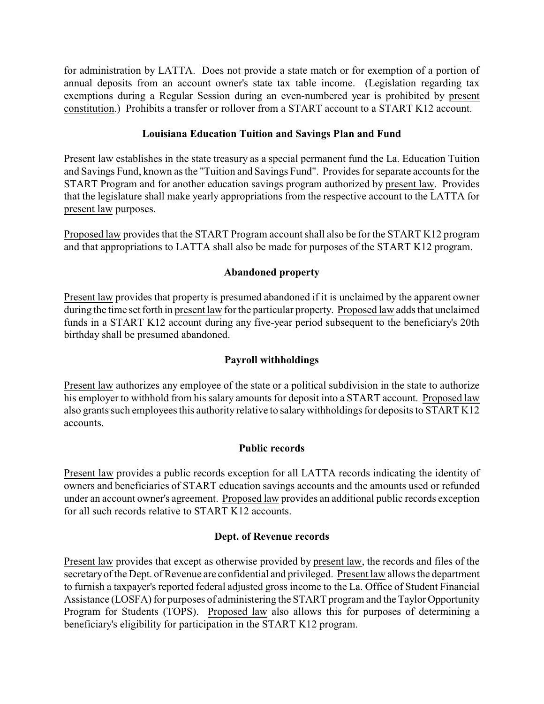for administration by LATTA. Does not provide a state match or for exemption of a portion of annual deposits from an account owner's state tax table income. (Legislation regarding tax exemptions during a Regular Session during an even-numbered year is prohibited by present constitution.) Prohibits a transfer or rollover from a START account to a START K12 account.

# **Louisiana Education Tuition and Savings Plan and Fund**

Present law establishes in the state treasury as a special permanent fund the La. Education Tuition and Savings Fund, known as the "Tuition and Savings Fund". Provides for separate accounts for the START Program and for another education savings program authorized by present law. Provides that the legislature shall make yearly appropriations from the respective account to the LATTA for present law purposes.

Proposed law provides that the START Program account shall also be for the START K12 program and that appropriations to LATTA shall also be made for purposes of the START K12 program.

# **Abandoned property**

Present law provides that property is presumed abandoned if it is unclaimed by the apparent owner during the time set forth in present law for the particular property. Proposed law adds that unclaimed funds in a START K12 account during any five-year period subsequent to the beneficiary's 20th birthday shall be presumed abandoned.

# **Payroll withholdings**

Present law authorizes any employee of the state or a political subdivision in the state to authorize his employer to withhold from his salary amounts for deposit into a START account. Proposed law also grants such employees this authority relative to salarywithholdings for deposits to START K12 accounts.

# **Public records**

Present law provides a public records exception for all LATTA records indicating the identity of owners and beneficiaries of START education savings accounts and the amounts used or refunded under an account owner's agreement. Proposed law provides an additional public records exception for all such records relative to START K12 accounts.

# **Dept. of Revenue records**

Present law provides that except as otherwise provided by present law, the records and files of the secretaryof the Dept. of Revenue are confidential and privileged. Present law allows the department to furnish a taxpayer's reported federal adjusted gross income to the La. Office of Student Financial Assistance (LOSFA) for purposes of administering the START program and the Taylor Opportunity Program for Students (TOPS). Proposed law also allows this for purposes of determining a beneficiary's eligibility for participation in the START K12 program.